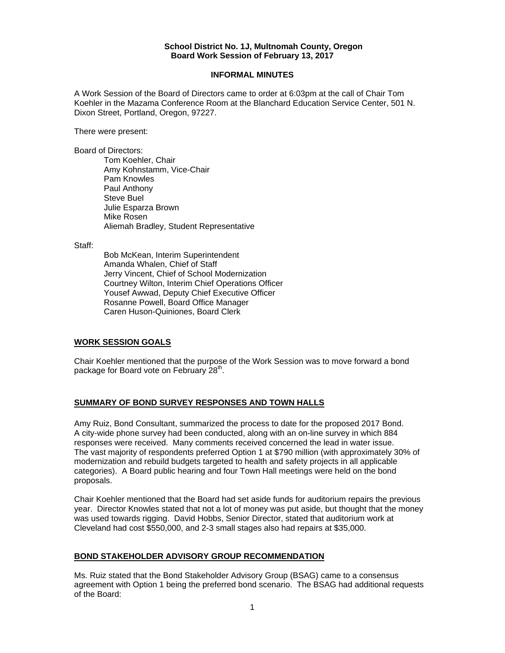#### **School District No. 1J, Multnomah County, Oregon Board Work Session of February 13, 2017**

### **INFORMAL MINUTES**

A Work Session of the Board of Directors came to order at 6:03pm at the call of Chair Tom Koehler in the Mazama Conference Room at the Blanchard Education Service Center, 501 N. Dixon Street, Portland, Oregon, 97227.

There were present:

Board of Directors:

Tom Koehler, Chair Amy Kohnstamm, Vice-Chair Pam Knowles Paul Anthony Steve Buel Julie Esparza Brown Mike Rosen Aliemah Bradley, Student Representative

Staff:

 Bob McKean, Interim Superintendent Amanda Whalen, Chief of Staff Jerry Vincent, Chief of School Modernization Courtney Wilton, Interim Chief Operations Officer Yousef Awwad, Deputy Chief Executive Officer Rosanne Powell, Board Office Manager Caren Huson-Quiniones, Board Clerk

## **WORK SESSION GOALS**

Chair Koehler mentioned that the purpose of the Work Session was to move forward a bond package for Board vote on February  $28<sup>th</sup>$ .

## **SUMMARY OF BOND SURVEY RESPONSES AND TOWN HALLS**

Amy Ruiz, Bond Consultant, summarized the process to date for the proposed 2017 Bond. A city-wide phone survey had been conducted, along with an on-line survey in which 884 responses were received. Many comments received concerned the lead in water issue. The vast majority of respondents preferred Option 1 at \$790 million (with approximately 30% of modernization and rebuild budgets targeted to health and safety projects in all applicable categories). A Board public hearing and four Town Hall meetings were held on the bond proposals.

Chair Koehler mentioned that the Board had set aside funds for auditorium repairs the previous year. Director Knowles stated that not a lot of money was put aside, but thought that the money was used towards rigging. David Hobbs, Senior Director, stated that auditorium work at Cleveland had cost \$550,000, and 2-3 small stages also had repairs at \$35,000.

### **BOND STAKEHOLDER ADVISORY GROUP RECOMMENDATION**

Ms. Ruiz stated that the Bond Stakeholder Advisory Group (BSAG) came to a consensus agreement with Option 1 being the preferred bond scenario. The BSAG had additional requests of the Board: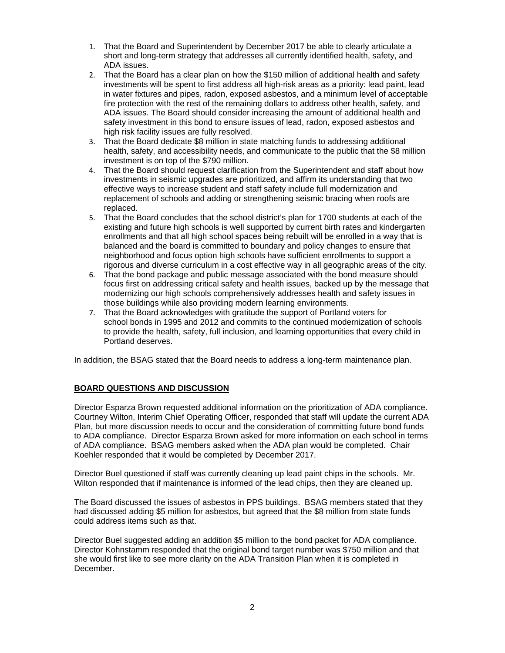- 1. That the Board and Superintendent by December 2017 be able to clearly articulate a short and long-term strategy that addresses all currently identified health, safety, and ADA issues.
- 2. That the Board has a clear plan on how the \$150 million of additional health and safety investments will be spent to first address all high-risk areas as a priority: lead paint, lead in water fixtures and pipes, radon, exposed asbestos, and a minimum level of acceptable fire protection with the rest of the remaining dollars to address other health, safety, and ADA issues. The Board should consider increasing the amount of additional health and safety investment in this bond to ensure issues of lead, radon, exposed asbestos and high risk facility issues are fully resolved.
- 3. That the Board dedicate \$8 million in state matching funds to addressing additional health, safety, and accessibility needs, and communicate to the public that the \$8 million investment is on top of the \$790 million.
- 4. That the Board should request clarification from the Superintendent and staff about how investments in seismic upgrades are prioritized, and affirm its understanding that two effective ways to increase student and staff safety include full modernization and replacement of schools and adding or strengthening seismic bracing when roofs are replaced.
- 5. That the Board concludes that the school district's plan for 1700 students at each of the existing and future high schools is well supported by current birth rates and kindergarten enrollments and that all high school spaces being rebuilt will be enrolled in a way that is balanced and the board is committed to boundary and policy changes to ensure that neighborhood and focus option high schools have sufficient enrollments to support a rigorous and diverse curriculum in a cost effective way in all geographic areas of the city.
- 6. That the bond package and public message associated with the bond measure should focus first on addressing critical safety and health issues, backed up by the message that modernizing our high schools comprehensively addresses health and safety issues in those buildings while also providing modern learning environments.
- 7. That the Board acknowledges with gratitude the support of Portland voters for school bonds in 1995 and 2012 and commits to the continued modernization of schools to provide the health, safety, full inclusion, and learning opportunities that every child in Portland deserves.

In addition, the BSAG stated that the Board needs to address a long-term maintenance plan.

## **BOARD QUESTIONS AND DISCUSSION**

Director Esparza Brown requested additional information on the prioritization of ADA compliance. Courtney Wilton, Interim Chief Operating Officer, responded that staff will update the current ADA Plan, but more discussion needs to occur and the consideration of committing future bond funds to ADA compliance. Director Esparza Brown asked for more information on each school in terms of ADA compliance. BSAG members asked when the ADA plan would be completed. Chair Koehler responded that it would be completed by December 2017.

Director Buel questioned if staff was currently cleaning up lead paint chips in the schools. Mr. Wilton responded that if maintenance is informed of the lead chips, then they are cleaned up.

The Board discussed the issues of asbestos in PPS buildings. BSAG members stated that they had discussed adding \$5 million for asbestos, but agreed that the \$8 million from state funds could address items such as that.

Director Buel suggested adding an addition \$5 million to the bond packet for ADA compliance. Director Kohnstamm responded that the original bond target number was \$750 million and that she would first like to see more clarity on the ADA Transition Plan when it is completed in December.